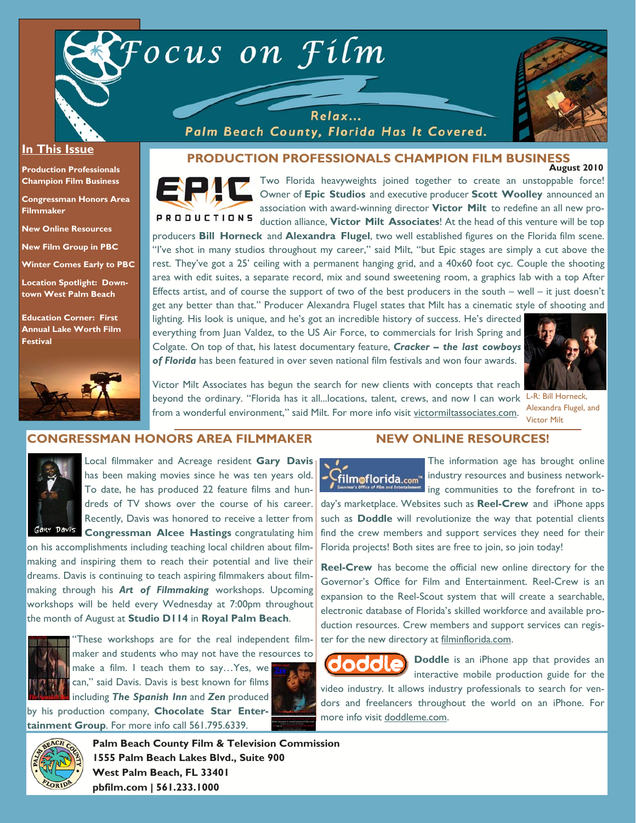



#### **In This Issue**

**Production Professionals Champion Film Business** 

**Congressman Honors Area Filmmaker** 

**New Online Resources** 

**New Film Group in PBC** 

**Winter Comes Early to PBC** 

**Location Spotlight: Downtown West Palm Beach** 

**Education Corner: First Annual Lake Worth Film Festival**



**August 2010 PRODUCTION PROFESSIONALS CHAMPION FILM BUSINESS** 



Two Florida heavyweights joined together to create an unstoppable force! Owner of **Epic Studios** and executive producer **Scott Woolley** announced an association with award-winning director **Victor Milt** to redefine an all new pro-**PRODUCTIONS** duction alliance, **Victor Milt Associates**! At the head of this venture will be top producers **Bill Horneck** and **Alexandra Flugel**, two well established figures on the Florida film scene.

"I've shot in many studios throughout my career," said Milt, "but Epic stages are simply a cut above the rest. They've got a 25' ceiling with a permanent hanging grid, and a 40x60 foot cyc. Couple the shooting area with edit suites, a separate record, mix and sound sweetening room, a graphics lab with a top After Effects artist, and of course the support of two of the best producers in the south – well – it just doesn't

get any better than that." Producer Alexandra Flugel states that Milt has a cinematic style of shooting and lighting. His look is unique, and he's got an incredible history of success. He's directed everything from Juan Valdez, to the US Air Force, to commercials for Irish Spring and Colgate. On top of that, his latest documentary feature, *Cracker – the last cowboys of Florida* has been featured in over seven national film festivals and won four awards.

Palm Beach County, Florida Has It Covered.



Alexandra Flugel, and

Victor Milt

Victor Milt Associates has begun the search for new clients with concepts that reach beyond the ordinary. "Florida has it all...locations, talent, crews, and now I can work L-R: Bill Horneck, from a wonderful environment," said Milt. For more info visit victormiltassociates.com.

**CONGRESSMAN HONORS AREA FILMMAKER** 



Local filmmaker and Acreage resident **Gary Davis**  has been making movies since he was ten years old. To date, he has produced 22 feature films and hundreds of TV shows over the course of his career. Recently, Davis was honored to receive a letter from **Congressman Alcee Hastings** congratulating him

on his accomplishments including teaching local children about filmmaking and inspiring them to reach their potential and live their dreams. Davis is continuing to teach aspiring filmmakers about filmmaking through his *Art of Filmmaking* workshops. Upcoming workshops will be held every Wednesday at 7:00pm throughout the month of August at **Studio D114** in **Royal Palm Beach**.



"These workshops are for the real independent filmmaker and students who may not have the resources to make a film. I teach them to say…Yes, we

can," said Davis. Davis is best known for films including *The Spanish Inn* and *Zen* produced



by his production company, **Chocolate Star Entertainment Group**. For more info call 561.795.6339.



**Palm Beach County Film & Television Commission 1555 Palm Beach Lakes Blvd., Suite 900 West Palm Beach, FL 33401 pbfilm.com | 561.233.1000** 

#### **NEW ONLINE RESOURCES!**



The information age has brought online industry resources and business networking communities to the forefront in to-

day's marketplace. Websites such as **Reel-Crew** and iPhone apps such as **Doddle** will revolutionize the way that potential clients find the crew members and support services they need for their Florida projects! Both sites are free to join, so join today!

**Reel-Crew** has become the official new online directory for the Governor's Office for Film and Entertainment. Reel-Crew is an expansion to the Reel-Scout system that will create a searchable, electronic database of Florida's skilled workforce and available production resources. Crew members and support services can register for the new directory at filminflorida.com.

**Doddle** is an iPhone app that provides an interactive mobile production guide for the video industry. It allows industry professionals to search for vendors and freelancers throughout the world on an iPhone. For

more info visit doddleme.com.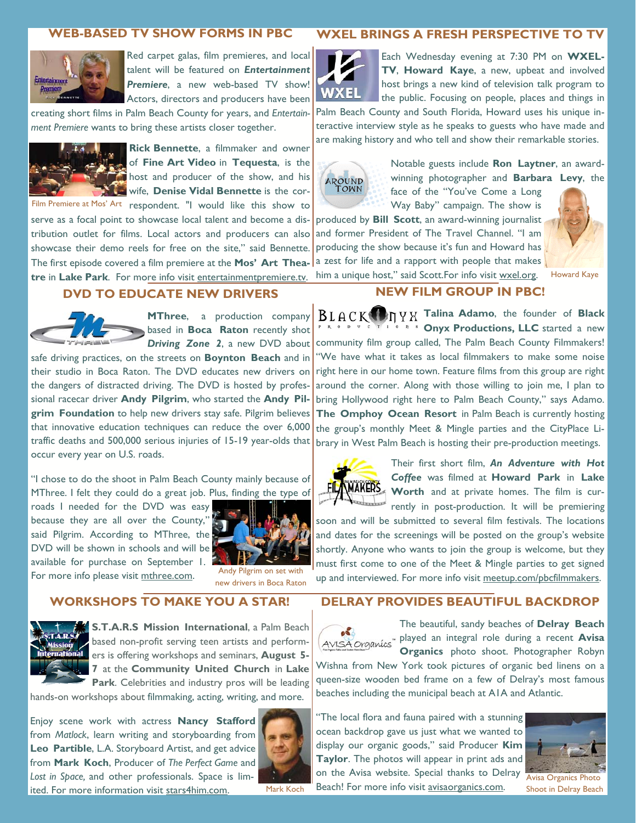# **WEB-BASED TV SHOW FORMS IN PBC**



Red carpet galas, film premieres, and local talent will be featured on *Entertainment Premiere*, a new web-based TV show! Actors, directors and producers have been

creating short films in Palm Beach County for years, and *Entertainment Premiere* wants to bring these artists closer together.



**Rick Bennette**, a filmmaker and owner of **Fine Art Video** in **Tequesta**, is the host and producer of the show, and his wife, **Denise Vidal Bennette** is the cor-

Film Premiere at Mos' Art respondent. "I would like this show to serve as a focal point to showcase local talent and become a distribution outlet for films. Local actors and producers can also showcase their demo reels for free on the site," said Bennette. The first episode covered a film premiere at the **Mos' Art Theatre** in **Lake Park**. For more info visit entertainmentpremiere.tv.

#### **DVD TO EDUCATE NEW DRIVERS**



**MThree**, a production company **based in Boca Raton** recently shot *Driving Zone 2*, a new DVD about

safe driving practices, on the streets on **Boynton Beach** and in their studio in Boca Raton. The DVD educates new drivers on the dangers of distracted driving. The DVD is hosted by professional racecar driver **Andy Pilgrim**, who started the **Andy Pilgrim Foundation** to help new drivers stay safe. Pilgrim believes that innovative education techniques can reduce the over 6,000 traffic deaths and 500,000 serious injuries of 15-19 year-olds that occur every year on U.S. roads.

"I chose to do the shoot in Palm Beach County mainly because of MThree. I felt they could do a great job. Plus, finding the type of

roads I needed for the DVD was easy because they are all over the County," said Pilgrim. According to MThree, the DVD will be shown in schools and will be available for purchase on September 1. For more info please visit mthree.com. Andy Pilgrim on set with



new drivers in Boca Raton

## **WORKSHOPS TO MAKE YOU A STAR!**



**S.T.A.R.S Mission International**, a Palm Beach based non-profit serving teen artists and performers is offering workshops and seminars, **August 5- 7** at the **Community United Church** in **Lake Park**. Celebrities and industry pros will be leading

hands-on workshops about filmmaking, acting, writing, and more.

Enjoy scene work with actress **Nancy Stafford**  from *Matlock*, learn writing and storyboarding from **Leo Partible**, L.A. Storyboard Artist, and get advice from **Mark Koch**, Producer of *The Perfect Game* and *Lost in Space,* and other professionals. Space is limited. For more information visit stars4him.com. Mark Koch



# **WXEL BRINGS A FRESH PERSPECTIVE TO TV**



Each Wednesday evening at 7:30 PM on **WXEL-TV**, **Howard Kaye**, a new, upbeat and involved host brings a new kind of television talk program to the public. Focusing on people, places and things in

Palm Beach County and South Florida, Howard uses his unique interactive interview style as he speaks to guests who have made and are making history and who tell and show their remarkable stories.



Notable guests include **Ron Laytner**, an awardwinning photographer and **Barbara Levy**, the face of the "You've Come a Long

Way Baby" campaign. The show is produced by **Bill Scott**, an award-winning journalist and former President of The Travel Channel. "I am

producing the show because it's fun and Howard has a zest for life and a rapport with people that makes him a unique host," said Scott.For info visit wxel.org. Howard Kaye



# **NEW FILM GROUP IN PBC!**

**Talina Adamo**, the founder of **Black D V C T I Onyx Productions, LLC** started a new community film group called, The Palm Beach County Filmmakers! "We have what it takes as local filmmakers to make some noise right here in our home town. Feature films from this group are right around the corner. Along with those willing to join me, I plan to bring Hollywood right here to Palm Beach County," says Adamo. **The Omphoy Ocean Resort** in Palm Beach is currently hosting the group's monthly Meet & Mingle parties and the CityPlace Library in West Palm Beach is hosting their pre-production meetings.



Their first short film, *An Adventure with Hot Coffee* was filmed at **Howard Park** in **Lake Worth** and at private homes. The film is currently in post-production. It will be premiering

soon and will be submitted to several film festivals. The locations and dates for the screenings will be posted on the group's website shortly. Anyone who wants to join the group is welcome, but they must first come to one of the Meet & Mingle parties to get signed up and interviewed. For more info visit meetup.com/pbcfilmmakers.

## **DELRAY PROVIDES BEAUTIFUL BACKDROP**



The beautiful, sandy beaches of **Delray Beach**  played an integral role during a recent **Avisa Organics** photo shoot. Photographer Robyn

Wishna from New York took pictures of organic bed linens on a queen-size wooden bed frame on a few of Delray's most famous beaches including the municipal beach at A1A and Atlantic.

"The local flora and fauna paired with a stunning ocean backdrop gave us just what we wanted to display our organic goods," said Producer **Kim Taylor**. The photos will appear in print ads and on the Avisa website. Special thanks to Delray Beach! For more info visit avisaorganics.com.



Avisa Organics Photo Shoot in Delray Beach

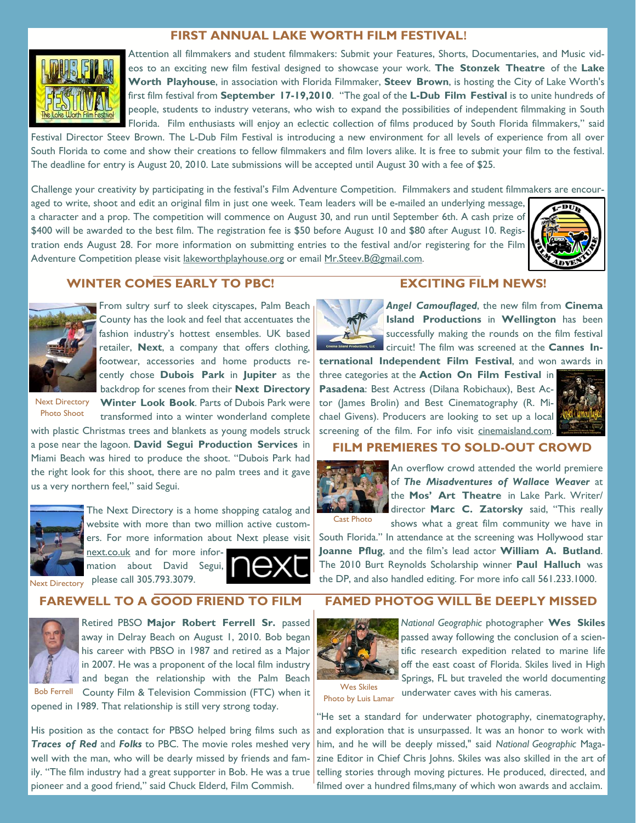#### **FIRST ANNUAL LAKE WORTH FILM FESTIVAL!**



Attention all filmmakers and student filmmakers: Submit your Features, Shorts, Documentaries, and Music videos to an exciting new film festival designed to showcase your work. **The Stonzek Theatre** of the **Lake Worth Playhouse**, in association with Florida Filmmaker, **Steev Brown**, is hosting the City of Lake Worth's first film festival from **September 17-19,2010**. "The goal of the **L-Dub Film Festival** is to unite hundreds of people, students to industry veterans, who wish to expand the possibilities of independent filmmaking in South Florida. Film enthusiasts will enjoy an eclectic collection of films produced by South Florida filmmakers," said

Festival Director Steev Brown. The L-Dub Film Festival is introducing a new environment for all levels of experience from all over South Florida to come and show their creations to fellow filmmakers and film lovers alike. It is free to submit your film to the festival. The deadline for entry is August 20, 2010. Late submissions will be accepted until August 30 with a fee of \$25.

Challenge your creativity by participating in the festival's Film Adventure Competition. Filmmakers and student filmmakers are encouraged to write, shoot and edit an original film in just one week. Team leaders will be e-mailed an underlying message, a character and a prop. The competition will commence on August 30, and run until September 6th. A cash prize of \$400 will be awarded to the best film. The registration fee is \$50 before August 10 and \$80 after August 10. Registration ends August 28. For more information on submitting entries to the festival and/or registering for the Film Adventure Competition please visit lakeworthplayhouse.org or email Mr.Steev.B@gmail.com.



# **WINTER COMES EARLY TO PBC!**



From sultry surf to sleek cityscapes, Palm Beach County has the look and feel that accentuates the fashion industry's hottest ensembles. UK based retailer, **Next**, a company that offers clothing, footwear, accessories and home products recently chose **Dubois Park** in **Jupiter** as the backdrop for scenes from their **Next Directory Winter Look Book**. Parts of Dubois Park were

transformed into a winter wonderland complete

Next Directory Photo Shoot

with plastic Christmas trees and blankets as young models struck a pose near the lagoon. **David Segui Production Services** in Miami Beach was hired to produce the shoot. "Dubois Park had the right look for this shoot, there are no palm trees and it gave us a very northern feel," said Segui.



The Next Directory is a home shopping catalog and website with more than two million active customers. For more information about Next please visit next.co.uk and for more information about David Segui,

please call 305.793.3079. Next Directory

#### **EXCITING FILM NEWS!**

*Angel Camouflaged*, the new film from **Cinema Island Productions** in **Wellington** has been successfully making the rounds on the film festival circuit! The film was screened at the **Cannes In-**

**ternational Independent Film Festival**, and won awards in three categories at the **Action On Film Festival** in **Pasadena**: Best Actress (Dilana Robichaux), Best Actor (James Brolin) and Best Cinematography (R. Michael Givens). Producers are looking to set up a local screening of the film. For info visit cinemaisland.com.



## **FILM PREMIERES TO SOLD-OUT CROWD**



An overflow crowd attended the world premiere of *The Misadventures of Wallace Weaver* at the **Mos' Art Theatre** in Lake Park. Writer/ director **Marc C. Zatorsky** said, "This really shows what a great film community we have in

Cast Photo

South Florida." In attendance at the screening was Hollywood star **Joanne Pflug**, and the film's lead actor **William A. Butland**. The 2010 Burt Reynolds Scholarship winner **Paul Halluch** was the DP, and also handled editing. For more info call 561.233.1000.

# **FAREWELL TO A GOOD FRIEND TO FILM**



Retired PBSO **Major Robert Ferrell Sr.** passed away in Delray Beach on August 1, 2010. Bob began his career with PBSO in 1987 and retired as a Major in 2007. He was a proponent of the local film industry and began the relationship with the Palm Beach Bob Ferrell County Film & Television Commission (FTC) when it

opened in 1989. That relationship is still very strong today.

His position as the contact for PBSO helped bring films such as *Traces of Red* and *Folks* to PBC. The movie roles meshed very well with the man, who will be dearly missed by friends and fampioneer and a good friend," said Chuck Elderd, Film Commish.

# **FAMED PHOTOG WILL BE DEEPLY MISSED**



*National Geographic* photographer **Wes Skiles**  passed away following the conclusion of a scientific research expedition related to marine life off the east coast of Florida. Skiles lived in High Springs, FL but traveled the world documenting

Wes Skiles Photo by Luis Lamar

underwater caves with his cameras.

"He set a standard for underwater photography, cinematography, and exploration that is unsurpassed. It was an honor to work with him, and he will be deeply missed," said *National Geographic* Magazine Editor in Chief Chris Johns. Skiles was also skilled in the art of ily. "The film industry had a great supporter in Bob. He was a true telling stories through moving pictures. He produced, directed, and filmed over a hundred films,many of which won awards and acclaim.